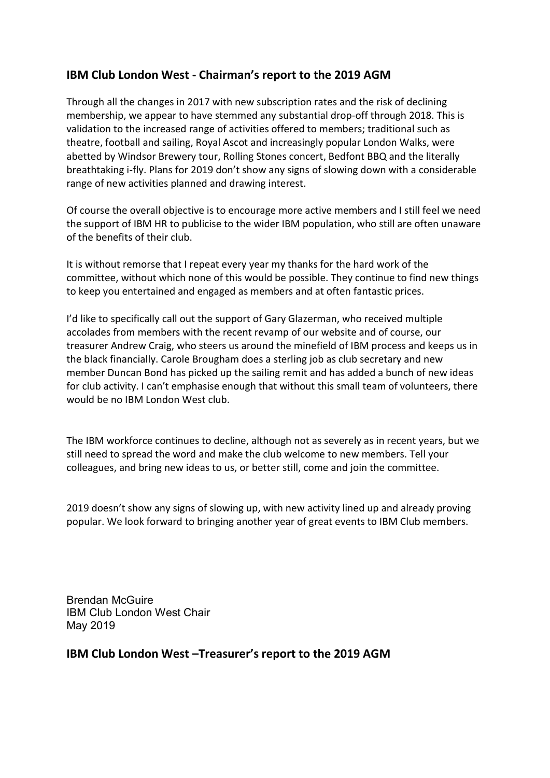## IBM Club London West - Chairman's report to the 2019 AGM

Through all the changes in 2017 with new subscription rates and the risk of declining membership, we appear to have stemmed any substantial drop-off through 2018. This is validation to the increased range of activities offered to members; traditional such as theatre, football and sailing, Royal Ascot and increasingly popular London Walks, were abetted by Windsor Brewery tour, Rolling Stones concert, Bedfont BBQ and the literally breathtaking i-fly. Plans for 2019 don't show any signs of slowing down with a considerable range of new activities planned and drawing interest.

Of course the overall objective is to encourage more active members and I still feel we need the support of IBM HR to publicise to the wider IBM population, who still are often unaware of the benefits of their club.

It is without remorse that I repeat every year my thanks for the hard work of the committee, without which none of this would be possible. They continue to find new things to keep you entertained and engaged as members and at often fantastic prices.

I'd like to specifically call out the support of Gary Glazerman, who received multiple accolades from members with the recent revamp of our website and of course, our treasurer Andrew Craig, who steers us around the minefield of IBM process and keeps us in the black financially. Carole Brougham does a sterling job as club secretary and new member Duncan Bond has picked up the sailing remit and has added a bunch of new ideas for club activity. I can't emphasise enough that without this small team of volunteers, there would be no IBM London West club.

The IBM workforce continues to decline, although not as severely as in recent years, but we still need to spread the word and make the club welcome to new members. Tell your colleagues, and bring new ideas to us, or better still, come and join the committee.

2019 doesn't show any signs of slowing up, with new activity lined up and already proving popular. We look forward to bringing another year of great events to IBM Club members.

Brendan McGuire IBM Club London West Chair May 2019

IBM Club London West –Treasurer's report to the 2019 AGM